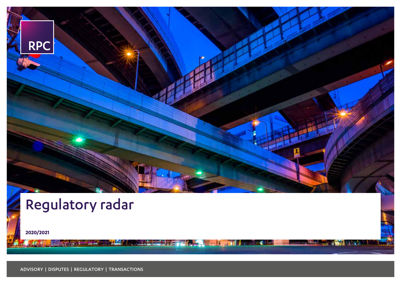

Box 2 Hard

۰ **The B** 

# Regulatory radar

**2020/2021**

ADVISORY | DISPUTES | REGULATORY | TRANSACTIONS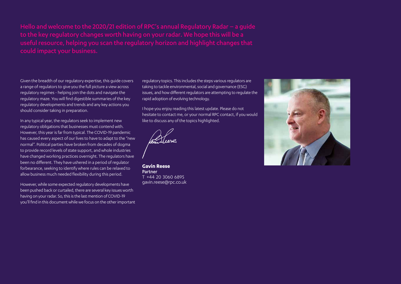useful resource, helping you scan the regulatory horizon and highlight changes that

Given the breadth of our regulatory expertise, this guide covers a range of regulators to give you the full picture a view across regulatory regimes - helping join the dots and navigate the regulatory maze. You will find digestible summaries of the key regulatory developments and trends and any key actions you should consider taking in preparation.

In any typical year, the regulators seek to implement new regulatory obligations that businesses must contend with. However, this year is far from typical. The COVID-19 pandemic has caused every aspect of our lives to have to adapt to the "new normal". Political parties have broken from decades of dogma to provide record levels of state support, and whole industries have changed working practices overnight. The regulators have been no different. They have ushered in a period of regulator forbearance, seeking to identify where rules can be relaxed to allow business much needed flexibility during this period.

However, while some expected regulatory developments have been pushed back or curtailed, there are several key issues worth having on your radar. So, this is the last mention of COVID-19 you'll find in this document while we focus on the other important regulatory topics. This includes the steps various regulators are taking to tackle environmental, social and governance (ESG) issues, and how different regulators are attempting to regulate the rapid adoption of evolving technology.

I hope you enjoy reading this latest update. Please do not hesitate to contact me, or your normal RPC contact, if you would like to discuss any of the topics highlighted.

**Gavin Reese** Partner T +44 20 3060 6895 gavin.reese@rpc.co.uk

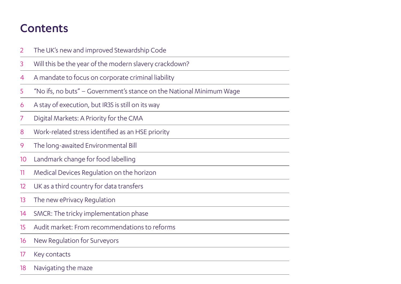## **Contents**

- [The UK's new and improved Stewardship Code](#page-3-0)
- [Will this be the year of the modern slavery crackdown?](#page-4-0)
- [A mandate to focus on corporate criminal liability](#page-5-0)
- ["No ifs, no buts" Government's stance on the National Minimum Wage](#page-6-0)
- [A stay of execution, but IR35 is still on its way](#page-7-0)
- [Digital Markets: A Priority for the CMA](#page-8-0)
- [Work-related stress identified as an HSE priority](#page-9-0)
- [The long-awaited Environmental Bill](#page-10-0)
- [Landmark change for food labelling](#page-11-0)
- [Medical Devices Regulation on the horizon](#page-12-0)
- [UK as a third country for data transfers](#page-13-0)
- [The new ePrivacy Regulation](#page-14-0)
- [SMCR: The tricky implementation phase](#page-15-0)
- [Audit market: From recommendations to reforms](#page-16-0)
- [New Regulation for Surveyors](#page-17-0)
- [Key contacts](#page-18-0)
- [Navigating the maze](#page-19-0)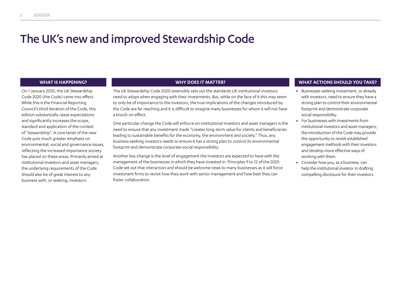## <span id="page-3-0"></span>The UK's new and improved Stewardship Code

On 1 January 2020, the UK Stewardship Code 2020 (the Code) came into effect. While this is the Financial Reporting Council's third iteration of the Code, this edition substantially raises expectations and significantly increases the scope, standard and application of the context of "stewardship". A core tenet of the new Code puts much greater emphasis on environmental, social and governance issues, reflecting the increased importance society has placed on these areas. Primarily aimed at institutional investors and asset managers, the underlying requirements of the Code should also be of great interest to any business with, or seeking, investors.

The UK Stewardship Code 2020 ostensibly sets out the standards UK institutional investors need to adopt when engaging with their investments. But, while on the face of it this may seem to only be of importance to the investors, the true implications of the changes introduced by the Code are far reaching and it is difficult to imagine many businesses for whom it will not have a knock-on effect.

One particular change the Code will enforce on institutional investors and asset managers is the need to ensure that any investment made "creates long-term value for clients and beneficiaries leading to sustainable benefits for the economy, the environment and society." Thus, any business seeking investors needs to ensure it has a strong plan to control its environmental footprint and demonstrate corporate social responsibility.

Another key change is the level of engagement the investors are expected to have with the management of the businesses in which they have invested in. Principles 9 to 12 of the 2020 Code set out that interaction and should be welcome news to many businesses as it will force investment firms to revisit how they work with senior management and how best they can foster collaboration.

- **•** Businesses seeking investment, or already with investors, need to ensure they have a strong plan to control their environmental footprint and demonstrate corporate social responsibility.
- **•** For businesses with investments from institutional investors and asset managers, the introduction of the Code may provide the opportunity to revisit established engagement methods with their investors and develop more effective ways of working with them.
- **•** Consider how you, as a business, can help the institutional investor in drafting compelling disclosure for their investors.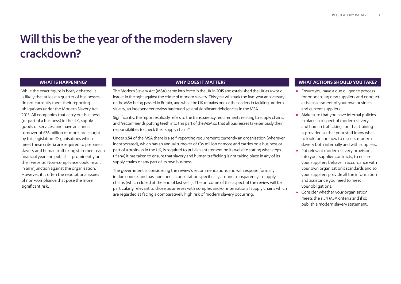## <span id="page-4-0"></span>Will this be the year of the modern slavery crackdown?

While the exact figure is hotly debated, it is likely that at least a quarter of businesses do not currently meet their reporting obligations under the Modern Slavery Act 2015. All companies that carry out business (or part of a business) in the UK, supply goods or services, and have an annual turnover of £36 million or more, are caught by this legislation. Organisations which meet these criteria are required to prepare a slavery and human trafficking statement each financial year and publish it prominently on their website. Non-compliance could result in an injunction against the organisation. However, it is often the reputational issues of non-compliance that pose the more significant risk.

The Modern Slavery Act (MSA) came into force in the UK in 2015 and established the UK as a world leader in the fight against the crime of modern slavery. This year will mark the five-year anniversary of the MSA being passed in Britain, and while the UK remains one of the leaders in tackling modern slavery, an independent review has found several significant deficiencies in the MSA.

Significantly, the report explicitly refers to the transparency requirements relating to supply chains, and "recommends putting teeth into this part of the MSA so that all businesses take seriously their responsibilities to check their supply chains".

Under s.54 of the MSA there is a self-reporting requirement; currently an organisation (wherever incorporated), which has an annual turnover of £36 million or more and carries on a business or part of a business in the UK, is required to publish a statement on its website stating what steps (if any) it has taken to ensure that slavery and human trafficking is not taking place in any of its supply chains or any part of its own business.

The government is considering the review's recommendations and will respond formally in due course, and has launched a consultation specifically around transparency in supply chains (which closed at the end of last year). The outcome of this aspect of the review will be particularly relevant to those businesses with complex and/or international supply chains which are regarded as facing a comparatively high risk of modern slavery occurring.

- **•** Ensure you have a due diligence process for onboarding new suppliers and conduct a risk assessment of your own business and current suppliers.
- **•** Make sure that you have internal policies in place in respect of modern slavery and human trafficking and that training is provided so that your staff know what to look for and how to discuss modern slavery both internally and with suppliers.
- **•** Put relevant modern slavery provisions into your supplier contracts, to ensure your suppliers behave in accordance with your own organisation's standards and so your suppliers provide all the information and assistance you need to meet your obligations.
- **•** Consider whether your organisation meets the s.54 MSA criteria and if so publish a modern slavery statement.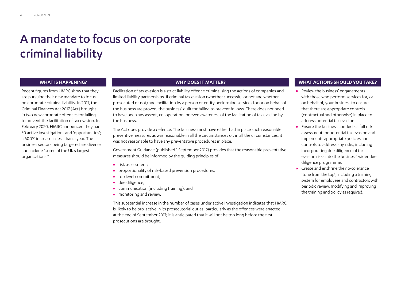## <span id="page-5-0"></span>A mandate to focus on corporate criminal liability

Recent figures from HMRC show that they are pursuing their new mandate to focus on corporate criminal liability. In 2017, the Criminal Finances Act 2017 (Act) brought in two new corporate offences for failing to prevent the facilitation of tax evasion. In February 2020, HMRC announced they had 30 active investigations and 'opportunities'; a 600% increase in less than a year. The business sectors being targeted are diverse and include "some of the UK's largest organisations."

Facilitation of tax evasion is a strict liability offence criminalising the actions of companies and limited liability partnerships. If criminal tax evasion (whether successful or not and whether prosecuted or not) and facilitation by a person or entity performing services for or on behalf of the business are proven, the business' guilt for failing to prevent follows. There does not need to have been any assent, co-operation, or even awareness of the facilitation of tax evasion by the business.

The Act does provide a defence. The business must have either had in place such reasonable preventive measures as was reasonable in all the circumstances or, in all the circumstances, it was not reasonable to have any preventative procedures in place.

Government Guidance (published 1 September 2017) provides that the reasonable preventative measures should be informed by the guiding principles of:

- **•** risk assessment;
- **•** proportionality of risk-based prevention procedures;
- **•** top level commitment;
- **•** due diligence;
- **•** communication (including training); and
- **•** monitoring and review.

This substantial increase in the number of cases under active investigation indicates that HMRC is likely to be pro-active in its prosecutorial duties, particularly as the offences were enacted at the end of September 2017; it is anticipated that it will not be too long before the first prosecutions are brought.

- **•** Review the business' engagements with those who perform services for, or on behalf of, your business to ensure that there are appropriate controls (contractual and otherwise) in place to address potential tax evasion.
- **•** Ensure the business conducts a full risk assessment for potential tax evasion and implements appropriate policies and controls to address any risks, including incorporating due diligence of tax evasion risks into the business' wider due diligence programme.
- **•** Create and enshrine the no-tolerance 'tone from the top'; including a training system for employees and contractors with periodic review, modifying and improving the training and policy as required.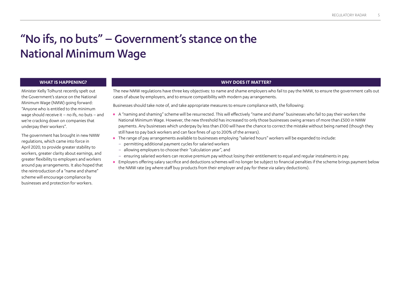## <span id="page-6-0"></span>"No ifs, no buts" – Government's stance on the National Minimum Wage

Minister Kelly Tolhurst recently spelt out the Government's stance on the National Minimum Wage (NMW) going forward: "Anyone who is entitled to the minimum wage should receive it – no ifs, no buts – and we're cracking down on companies that underpay their workers".

The government has brought in new NMW regulations, which came into force in April 2020, to provide greater stability to workers, greater clarity about earnings, and greater flexibility to employers and workers around pay arrangements. It also hoped that the reintroduction of a "name and shame" scheme will encourage compliance by businesses and protection for workers.

### **WHAT IS HAPPENING? WHY DOES IT MATTER?**

The new NMW regulations have three key objectives: to name and shame employers who fail to pay the NMW, to ensure the government calls out cases of abuse by employers, and to ensure compatibility with modern pay arrangements.

Businesses should take note of, and take appropriate measures to ensure compliance with, the following:

- **•** A "naming and shaming" scheme will be resurrected. This will effectively "name and shame" businesses who fail to pay their workers the National Minimum Wage. However, the new threshold has increased to only those businesses owing arrears of more than £500 in NMW payments. Any businesses which underpay by less than £100 will have the chance to correct the mistake without being named (though they still have to pay back workers and can face fines of up to 200% of the arrears).
- **•** The range of pay arrangements available to businesses employing "salaried hours" workers will be expanded to include:
	- permitting additional payment cycles for salaried workers
	- allowing employers to choose their "calculation year", and
	- ensuring salaried workers can receive premium pay without losing their entitlement to equal and regular instalments in pay.
- **•** Employers offering salary sacrifice and deductions schemes will no longer be subject to financial penalties if the scheme brings payment below the NMW rate (eg where staff buy products from their employer and pay for these via salary deductions).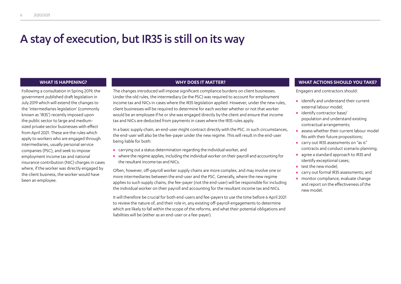## <span id="page-7-0"></span>A stay of execution, but IR35 is still on its way

Following a consultation in Spring 2019, the government published draft legislation in July 2019 which will extend the changes to the 'intermediaries legislation' (commonly known as 'IR35') recently imposed upon the public sector to large and mediumsized private sector businesses with effect from April 2021. These are the rules which apply to workers who are engaged through intermediaries, usually personal service companies (PSC), and seek to impose employment income tax and national insurance contribution (NIC) charges in cases where, if the worker was directly engaged by the client business, the worker would have been an employee.

The changes introduced will impose significant compliance burdens on client businesses. Under the old rules, the intermediary (ie the PSC) was required to account for employment income tax and NICs in cases where the IR35 legislation applied. However, under the new rules, client businesses will be required to determine for each worker whether or not that worker would be an employee if he or she was engaged directly by the client and ensure that income tax and NICs are deducted from payments in cases where the IR35 rules apply.

In a basic supply chain, an end-user might contract directly with the PSC. In such circumstances, the end-user will also be the fee-payer under the new regime. This will result in the end-user being liable for both:

- **•** carrying out a status determination regarding the individual worker, and
- **•** where the regime applies, including the individual worker on their payroll and accounting for the resultant income tax and NICs.

Often, however, off-payroll worker supply chains are more complex, and may involve one or more intermediaries between the end-user and the PSC. Generally, where the new regime applies to such supply chains, the fee-payer (not the end-user) will be responsible for including the individual worker on their payroll and accounting for the resultant income tax and NICs.

It will therefore be crucial for both end-users and fee-payers to use the time before 6 April 2021 to review the nature of, and their role in, any existing off-payroll engagements to determine which are likely to fall within the scope of the reforms, and what their potential obligations and liabilities will be (either as an end-user or a fee-payer).

### **WHAT IS HAPPENING? WHY DOES IT MATTER? WHAT ACTIONS SHOULD YOU TAKE?**

Engagers and contractors should:

- **•** identify and understand their current external labour model;
- **•** identify contractor base/ population and understand existing contractual arrangements;
- **•** assess whether their current labour model fits with their future propositions;
- **•** carry out IR35 assessments on "as is" contracts and conduct scenario planning;
- **•** agree a standard approach to IR35 and identify exceptional cases;
- **•** test the new model;
- **•** carry out formal IR35 assessments; and
- **•** monitor compliance, evaluate change and report on the effectiveness of the new model.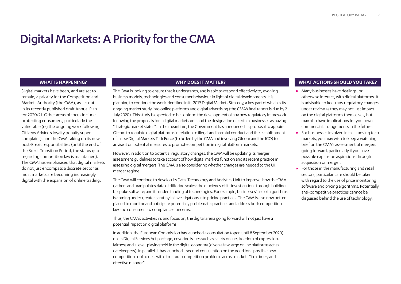## <span id="page-8-0"></span>Digital Markets: A Priority for the CMA

Digital markets have been, and are set to remain, a priority for the Competition and Markets Authority (the CMA), as set out in its recently published draft Annual Plan for 2020/21. Other areas of focus include protecting consumers, particularly the vulnerable (eg the ongoing work following Citizens Advice's loyalty penalty super complaint), and the CMA taking on its new post-Brexit responsibilities (until the end of the Brexit Transition Period, the status quo regarding competition law is maintained). The CMA has emphasised that digital markets do not just encompass a discrete sector as most markets are becoming increasingly digital with the expansion of online trading.

The CMA is looking to ensure that it understands, and is able to respond effectively to, evolving business models, technologies and consumer behaviour in light of digital developments. It is planning to continue the work identified in its 2019 Digital Markets Strategy, a key part of which is its ongoing market study into online platforms and digital advertising (the CMA's final report is due by 2 July 2020). This study is expected to help inform the development of any new regulatory framework following the proposals for a digital markets unit and the designation of certain businesses as having "strategic market status". In the meantime, the Government has announced its proposal to appoint Ofcom to regulate digital platforms in relation to illegal and harmful conduct and the establishment of a new Digital Markets Task Force (to be led by the CMA and involving Ofcom and the ICO) to advise it on potential measures to promote competition in digital platform markets.

However, in addition to potential regulatory changes, the CMA will be updating its merger assessment guidelines to take account of how digital markets function and its recent practice in assessing digital mergers. The CMA is also considering whether changes are needed to the UK merger regime.

The CMA will continue to develop its Data, Technology and Analytics Unit to improve: how the CMA gathers and manipulates data of differing scales; the efficiency of its investigations through building bespoke software; and its understanding of technologies. For example, businesses' use of algorithms is coming under greater scrutiny in investigations into pricing practices. The CMA is also now better placed to monitor and anticipate potentially problematic practices and address both competition law and consumer law compliance concerns.

Thus, the CMA's activities in, and focus on, the digital arena going forward will not just have a potential impact on digital platforms.

In addition, the European Commission has launched a consultation (open until 8 September 2020) on its Digital Services Act package, covering issues such as safety online, freedom of expression, fairness and a level-playing field in the digital economy (given a few large online platforms act as gatekeepers). In parallel, it has launched a second consultation on the need for a possible new competition tool to deal with structural competition problems across markets "in a timely and effective manner".

- **•** Many businesses have dealings, or otherwise interact, with digital platforms. It is advisable to keep any regulatory changes under review as they may not just impact on the digital platforms themselves, but may also have implications for your own commercial arrangements in the future.
- **•** For businesses involved in fast-moving tech markets, you may wish to keep a watching brief on the CMA's assessment of mergers going forward, particularly if you have possible expansion aspirations through acquisition or merger.
- **•** For those in the manufacturing and retail sectors, particular care should be taken with regard to the use of price monitoring software and pricing algorithms. Potentially anti-competitive practices cannot be disguised behind the use of technology.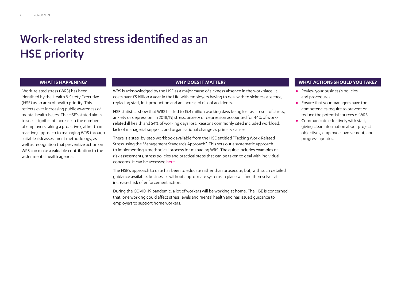## <span id="page-9-0"></span>Work-related stress identified as an HSE priority

 Work-related stress (WRS) has been identified by the Health & Safety Executive (HSE) as an area of health priority. This reflects ever increasing public awareness of mental health issues. The HSE's stated aim is to see a significant increase in the number of employers taking a proactive (rather than reactive) approach to managing WRS through suitable risk assessment methodology, as well as recognition that preventive action on WRS can make a valuable contribution to the wider mental health agenda.

WRS is acknowledged by the HSE as a major cause of sickness absence in the workplace. It costs over £5 billion a year in the UK, with employers having to deal with to sickness absence, replacing staff, lost production and an increased risk of accidents.

HSE statistics show that WRS has led to 15.4 million working days being lost as a result of stress, anxiety or depression. In 2018/19, stress, anxiety or depression accounted for 44% of workrelated ill health and 54% of working days lost. Reasons commonly cited included workload, lack of managerial support, and organisational change as primary causes.

There is a step-by-step workbook available from the HSE entitled "Tacking Work-Related Stress using the Management Standards Approach". This sets out a systematic approach to implementing a methodical process for managing WRS. The guide includes examples of risk assessments, stress policies and practical steps that can be taken to deal with individual concerns. It can be accessed [here.](mailto:https://www.hse.gov.uk/pubns/wbk01.pdf?subject=)

The HSE's approach to date has been to educate rather than prosecute, but, with such detailed guidance available, businesses without appropriate systems in place will find themselves at increased risk of enforcement action.

During the COVID-19 pandemic, a lot of workers will be working at home. The HSE is concerned that lone working could affect stress levels and mental health and has issued guidance to employers to support home workers.

- **•** Review your business's policies and procedures.
- **•** Ensure that your managers have the competencies require to prevent or reduce the potential sources of WRS.
- **•** Communicate effectively with staff, giving clear information about project objectives, employee involvement, and progress updates.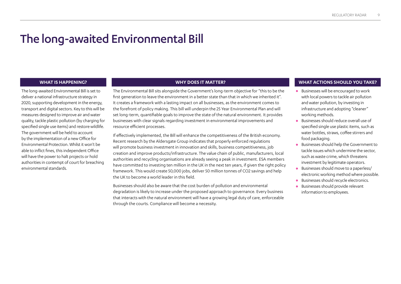## <span id="page-10-0"></span>The long-awaited Environmental Bill

The long-awaited Environmental Bill is set to deliver a national infrastructure strategy in 2020, supporting development in the energy, transport and digital sectors. Key to this will be measures designed to improve air and water quality, tackle plastic pollution (by charging for specified single use items) and restore wildlife. The government will be held to account by the implementation of a new Office for Environmental Protection. Whilst it won't be able to inflict fines, this independent Office will have the power to halt projects or hold authorities in contempt of court for breaching environmental standards.

The Environmental Bill sits alongside the Government's long-term objective for "this to be the first generation to leave the environment in a better state than that in which we inherited it". It creates a framework with a lasting impact on all businesses, as the environment comes to the forefront of policy making. This bill will underpin the 25 Year Environmental Plan and will set long-term, quantifiable goals to improve the state of the natural environment. It provides businesses with clear signals regarding investment in environmental improvements and resource efficient processes.

If effectively implemented, the Bill will enhance the competitiveness of the British economy. Recent research by the Aldersgate Group indicates that properly enforced regulations will promote business investment in innovation and skills, business competitiveness, job creation and improve products/infrastructure. The value chain of public, manufacturers, local authorities and recycling organisations are already seeing a peak in investment. ESA members have committed to investing ten million in the UK in the next ten years, if given the right policy framework. This would create 50,000 jobs, deliver 50 million tonnes of CO2 savings and help the UK to become a world leader in this field.

Businesses should also be aware that the cost burden of pollution and environmental degradation is likely to increase under the proposed approach to governance. Every business that interacts with the natural environment will have a growing legal duty of care, enforceable through the courts. Compliance will become a necessity.

- **•** Businesses will be encouraged to work with local powers to tackle air pollution and water pollution, by investing in infrastructure and adopting "cleaner" working methods.
- **•** Businesses should reduce overall use of specified single use plastic items, such as water bottles, straws, coffee stirrers and food packaging.
- **•** Businesses should help the Government to tackle issues which undermine the sector, such as waste crime, which threatens investment by legitimate operators.
- **•** Businesses should move to a paperless/ electronic working method where possible.
- **•** Businesses should recycle electronics.
- **•** Businesses should provide relevant information to employees.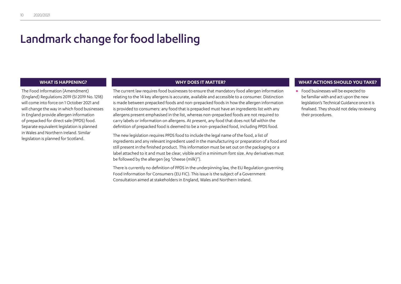## <span id="page-11-0"></span>Landmark change for food labelling

The Food Information (Amendment) (England) Regulations 2019 (SI 2019 No. 1218) will come into force on 1 October 2021 and will change the way in which food businesses in England provide allergen information of prepacked for direct sale (PPDS) food. Separate equivalent legislation is planned in Wales and Northern Ireland. Similar legislation is planned for Scotland.

The current law requires food businesses to ensure that mandatory food allergen information relating to the 14 key allergens is accurate, available and accessible to a consumer. Distinction is made between prepacked foods and non-prepacked foods in how the allergen information is provided to consumers: any food that is prepacked must have an ingredients list with any allergens present emphasised in the list, whereas non-prepacked foods are not required to carry labels or information on allergens. At present, any food that does not fall within the definition of prepacked food is deemed to be a non-prepacked food, including PPDS food.

The new legislation requires PPDS food to include the legal name of the food, a list of ingredients and any relevant ingredient used in the manufacturing or preparation of a food and still present in the finished product. This information must be set out on the packaging or a label attached to it and must be clear, visible and in a minimum font size. Any derivatives must be followed by the allergen (eg "cheese (milk)").

There is currently no definition of PPDS in the underpinning law, the EU Regulation governing Food Information for Consumers (EU FIC). This issue is the subject of a Government Consultation aimed at stakeholders in England, Wales and Northern Ireland.

### **WHAT IS HAPPENING? WHY DOES IT MATTER? WHAT ACTIONS SHOULD YOU TAKE?**

**•** Food businesses will be expected to be familiar with and act upon the new legislation's Technical Guidance once it is finalised. They should not delay reviewing their procedures.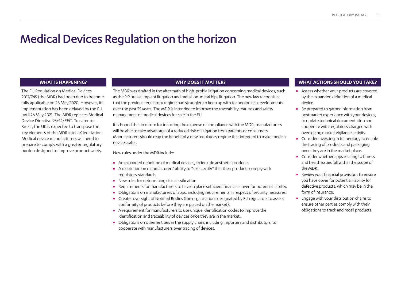## <span id="page-12-0"></span>Medical Devices Regulation on the horizon

The EU Regulation on Medical Devices 2017/745 (the MDR) had been due to become fully applicable on 26 May 2020. However, its implementation has been delayed by the EU until 26 May 2021. The MDR replaces Medical Device Directive 93/42/EEC. To cater for Brexit, the UK is expected to transpose the key elements of the MDR into UK legislation. Medical device manufacturers will need to prepare to comply with a greater regulatory burden designed to improve product safety.

The MDR was drafted in the aftermath of high-profile litigation concerning medical devices, such as the PIP breast implant litigation and metal-on-metal hips litigation. The new law recognises that the previous regulatory regime had struggled to keep up with technological developments over the past 25 years. The MDR is intended to improve the traceability features and safety management of medical devices for sale in the EU.

It is hoped that in return for incurring the expense of compliance with the MDR, manufacturers will be able to take advantage of a reduced risk of litigation from patients or consumers. Manufacturers should reap the benefit of a new regulatory regime that intended to make medical devices safer.

New rules under the MDR include:

- **•** An expanded definition of medical devices, to include aesthetic products.
- **•** A restriction on manufacturers' ability to "self-certify" that their products comply with regulatory standards.
- **•** New rules for determining risk classification.
- **•** Requirements for manufacturers to have in place sufficient financial cover for potential liability.
- **•** Obligations on manufacturers of apps, including requirements in respect of security measures.
- **•** Greater oversight of Notified Bodies (the organisations designated by EU regulators to assess conformity of products before they are placed on the market).
- **•** A requirement for manufacturers to use unique identification codes to improve the identification and traceability of devices once they are in the market.
- **•** Obligations on other entities in the supply chain, including importers and distributors, to cooperate with manufacturers over tracing of devices.

- **•** Assess whether your products are covered by the expanded definition of a medical device.
- **•** Be prepared to gather information from postmarket experience with your devices, to update technical documentation and cooperate with regulators charged with overseeing market vigilance activity.
- **•** Consider investing in technology to enable the tracing of products and packaging once they are in the market place.
- **•** Consider whether apps relating to fitness and health issues fall within the scope of the MDR.
- **•** Review your financial provisions to ensure you have cover for potential liability for defective products, which may be in the form of insurance.
- **•** Engage with your distribution chains to ensure other parties comply with their obligations to track and recall products.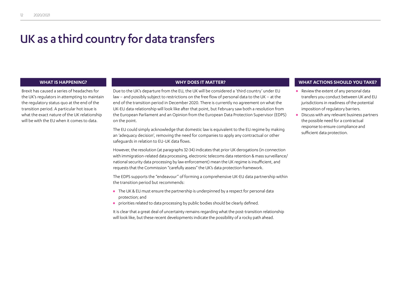## <span id="page-13-0"></span>UK as a third country for data transfers

Brexit has caused a series of headaches for the UK's regulators in attempting to maintain the regulatory status quo at the end of the transition period. A particular hot issue is what the exact nature of the UK relationship will be with the EU when it comes to data.

Due to the UK's departure from the EU, the UK will be considered a 'third country' under EU law – and possibly subject to restrictions on the free flow of personal data to the UK – at the end of the transition period in December 2020. There is currently no agreement on what the UK-EU data relationship will look like after that point, but February saw both a resolution from the European Parliament and an Opinion from the European Data Protection Supervisor (EDPS) on the point.

The EU could simply acknowledge that domestic law is equivalent to the EU regime by making an 'adequacy decision', removing the need for companies to apply any contractual or other safeguards in relation to EU-UK data flows.

However, the resolution (at paragraphs 32-34) indicates that prior UK derogations (in connection with immigration-related data processing, electronic telecoms data retention & mass surveillance/ national security data processing by law enforcement) mean the UK regime is insufficient, and requests that the Commission "carefully assess" the UK's data protection framework.

The EDPS supports the "endeavour" of forming a comprehensive UK-EU data partnership within the transition period but recommends:

- **•** The UK & EU must ensure the partnership is underpinned by a respect for personal data protection; and
- **•** priorities related to data processing by public bodies should be clearly defined.

It is clear that a great deal of uncertainty remains regarding what the post-transition relationship will look like, but these recent developments indicate the possibility of a rocky path ahead.

- **•** Review the extent of any personal data transfers you conduct between UK and EU jurisdictions in readiness of the potential imposition of regulatory barriers.
- **•** Discuss with any relevant business partners the possible need for a contractual response to ensure compliance and sufficient data protection.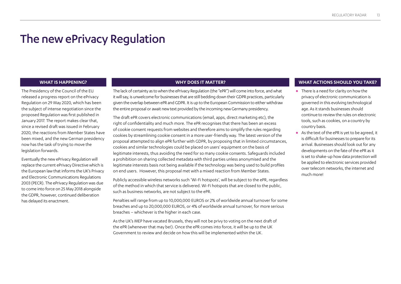## <span id="page-14-0"></span>The new ePrivacy Regulation

The Presidency of the Council of the EU released a progress report on the ePrivacy Regulation on 29 May 2020, which has been the subject of intense negotiation since the proposed Regulation was first published in January 2017. The report makes clear that, since a revised draft was issued in February 2020, the reactions from Member States have been mixed, and the new German presidency now has the task of trying to move the legislation forwards.

Eventually the new ePrivacy Regulation will replace the current ePrivacy Directive which is the European law that informs the UK's Privacy and Electronic Communications Regulations 2003 (PECR). The ePrivacy Regulation was due to come into force on 25 May 2018 alongside the GDPR, however, continued deliberation has delayed its enactment.

The lack of certainty as to when the ePrivacy Regulation (the "ePR") will come into force, and what it will say, is unwelcome for businesses that are still bedding down their GDPR practices, particularly given the overlap between ePR and GDPR. It is up to the European Commission to either withdraw the entire proposal or await new text provided by the incoming new Germany presidency.

The draft ePR covers electronic communications (email, apps, direct marketing etc), the right of confidentiality and much more. The ePR recognises that there has been an excess of cookie consent requests from websites and therefore aims to simplify the rules regarding cookies by streamlining cookie consent in a more user-friendly way. The latest version of the proposal attempted to align ePR further with GDPR, by proposing that in limited circumstances, cookies and similar technologies could be placed on users' equipment on the basis of legitimate interests, thus avoiding the need for so many cookie consents. Safeguards included a prohibition on sharing collected metadata with third parties unless anonymised and the legitimate interests basis not being available if the technology was being used to build profiles on end users. However, this proposal met with a mixed reaction from Member States.

Publicly accessible wireless networks such 'Wi-Fi hotspots', will be subject to the ePR, regardless of the method in which that service is delivered. Wi-Fi hotspots that are closed to the public, such as business networks, are not subject to the ePR.

Penalties will range from up to 10,000,000 EUROS or 2% of worldwide annual turnover for some breaches and up to 20,000,000 EUROS, or 4% of worldwide annual turnover, for more serious breaches – whichever is the higher in each case.

As the UK's MEP have vacated Brussels, they will not be privy to voting on the next draft of the ePR (whenever that may be!). Once the ePR comes into force, it will be up to the UK Government to review and decide on how this will be implemented within the UK.

- **•** There is a need for clarity on how the privacy of electronic communication is governed in this evolving technological age. As it stands businesses should continue to review the rules on electronic tools, such as cookies, on a country by country basis.
- **•** As the text of the ePR is yet to be agreed, it is difficult for businesses to prepare for its arrival. Businesses should look out for any developments on the fate of the ePR as it is set to shake-up how data protection will be applied to electronic services provided over telecom networks, the internet and much more!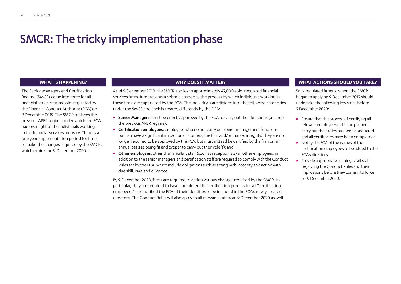## <span id="page-15-0"></span>SMCR: The tricky implementation phase

The Senior Managers and Certification Regime (SMCR) came into force for all financial services firms solo-regulated by the Financial Conduct Authority (FCA) on 9 December 2019. The SMCR replaces the previous APER regime under which the FCA had oversight of the individuals working in the financial services industry. There is a one year implementation period for firms to make the changes required by the SMCR, which expires on 9 December 2020.

As of 9 December 2019, the SMCR applies to approximately 47,000 solo-regulated financial services firms. It represents a seismic change to the process by which individuals working in these firms are supervised by the FCA. The individuals are divided into the following categories under the SMCR and each is treated differently by the FCA:

- **•** Senior Managers: must be directly approved by the FCA to carry out their functions (as under the previous APER regime);
- **•** Certification employees: employees who do not carry out senior management functions but can have a significant impact on customers, the firm and/or market integrity. They are no longer required to be approved by the FCA, but must instead be certified by the firm on an annual basis as being fit and proper to carry out their role(s); and
- **•** Other employees: other than ancillary staff (such as receptionists) all other employees, in addition to the senior managers and certification staff are required to comply with the Conduct Rules set by the FCA, which include obligations such as acting with integrity and acting with due skill, care and diligence.

By 9 December 2020, firms are required to action various changes required by the SMCR. In particular, they are required to have completed the certification process for all "certification employees" and notified the FCA of their identities to be included in the FCA's newly created directory. The Conduct Rules will also apply to all relevant staff from 9 December 2020 as well.

### **WHAT IS HAPPENING? WHY DOES IT MATTER? WHAT ACTIONS SHOULD YOU TAKE?**

Solo-regulated firms to whom the SMCR began to apply on 9 December 2019 should undertake the following key steps before 9 December 2020:

- **•** Ensure that the process of certifying all relevant employees as fit and proper to carry out their roles has been conducted and all certificates have been completed;
- **•** Notify the FCA of the names of the certification employees to be added to the FCA's directory.
- **•** Provide appropriate training to all staff regarding the Conduct Rules and their implications before they come into force on 9 December 2020.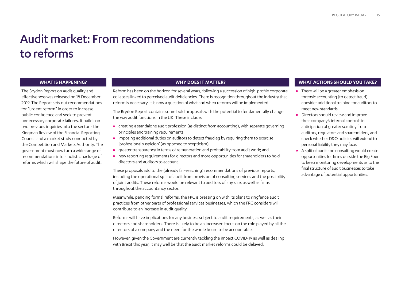## <span id="page-16-0"></span>Audit market: From recommendations to reforms

The Brydon Report on audit quality and effectiveness was released on 18 December 2019. The Report sets out recommendations for "urgent reform" in order to increase public confidence and seek to prevent unnecessary corporate failures. It builds on two previous inquiries into the sector - the Kingman Review of the Financial Reporting Council and a market study conducted by the Competition and Markets Authority. The government must now turn a wide range of recommendations into a holistic package of reforms which will shape the future of audit.

Reform has been on the horizon for several years, following a succession of high-profile corporate collapses linked to perceived audit deficiencies. There is recognition throughout the industry that reform is necessary. It is now a question of what and when reforms will be implemented.

The Brydon Report contains some bold proposals with the potential to fundamentally change the way audit functions in the UK. These include:

- **•** creating a standalone audit profession (as distinct from accounting), with separate governing principles and training requirements;
- **•** imposing additional duties on auditors to detect fraud eg by requiring them to exercise 'professional suspicion' (as opposed to scepticism);
- **•** greater transparency in terms of remuneration and profitability from audit work; and
- **•** new reporting requirements for directors and more opportunities for shareholders to hold directors and auditors to account.

These proposals add to the (already far-reaching) recommendations of previous reports, including the operational split of audit from provision of consulting services and the possibility of joint audits. These reforms would be relevant to auditors of any size, as well as firms throughout the accountancy sector.

Meanwhile, pending formal reforms, the FRC is pressing on with its plans to ringfence audit practices from other parts of professional services businesses, which the FRC considers will contribute to an increase in audit quality.

Reforms will have implications for any business subject to audit requirements, as well as their directors and shareholders. There is likely to be an increased focus on the role played by all the directors of a company and the need for the whole board to be accountable.

However, given the Government are currently tackling the impact COVID-19 as well as dealing with Brexit this year, it may well be that the auidt market reforms could be delayed.

- **•** There will be a greater emphasis on forensic accounting (to detect fraud) – consider additional training for auditors to meet new standards.
- **•** Directors should review and improve their company's internal controls in anticipation of greater scrutiny from auditors, regulators and shareholders, and check whether D&O policies will extend to personal liability they may face.
- **•** A split of audit and consulting would create opportunities for firms outside the Big Four to keep monitoring developments as to the final structure of audit businesses to take advantage of potential opportunities.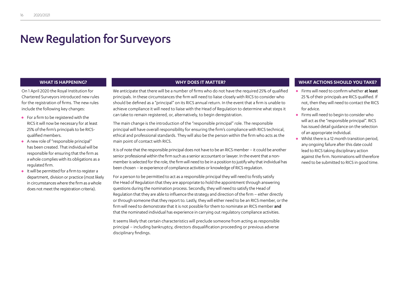## <span id="page-17-0"></span>New Regulation for Surveyors

On 1 April 2020 the Royal Institution for Chartered Surveyors introduced new rules for the registration of firms. The new rules include the following key changes:

- **•** For a firm to be registered with the RICS it will now be necessary for at least 25% of the firm's principals to be RICSqualified members.
- **•** A new role of "responsible principal" has been created. That individual will be responsible for ensuring that the firm as a whole complies with its obligations as a regulated firm.
- **•** It will be permitted for a firm to register a department, division or practice (most likely in circumstances where the firm as a whole does not meet the registration criteria).

We anticipate that there will be a number of firms who do not have the required 25% of qualified principals. In these circumstances the firm will need to liaise closely with RICS to consider who should be defined as a "principal" on its RICS annual return. In the event that a firm is unable to achieve compliance it will need to liaise with the Head of Regulation to determine what steps it can take to remain registered, or, alternatively, to begin deregistration.

The main change is the introduction of the "responsible principal" role. The responsible principal will have overall responsibility for ensuring the firm's compliance with RICS technical, ethical and professional standards. They will also be the person within the firm who acts as the main point of contact with RICS.

It is of note that the responsible principal does not have to be an RICS member – it could be another senior professional within the firm such as a senior accountant or lawyer. In the event that a nonmember is selected for the role, the firm will need to be in a position to justify why that individual has been chosen – ie experience of compliance activities or knowledge of RICS regulation.

For a person to be permitted to act as a responsible principal they will need to firstly satisfy the Head of Regulation that they are appropriate to hold the appointment through answering questions during the nomination process. Secondly, they will need to satisfy the Head of Regulation that they are able to influence the strategy and direction of the firm – either directly or through someone that they report to. Lastly, they will either need to be an RICS member, or the firm will need to demonstrate that it is not possible for them to nominate an RICS member and that the nominated individual has experience in carrying out regulatory compliance activities.

It seems likely that certain characteristics will preclude someone from acting as responsible principal – including bankruptcy, directors disqualification proceeding or previous adverse disciplinary findings.

- **•** Firms will need to confirm whether at least 25 % of their principals are RICS qualified. If not, then they will need to contact the RICS for advice.
- **•** Firms will need to begin to consider who will act as the "responsible principal". RICS has issued detail guidance on the selection of an appropriate individual.
- **•** Whilst there is a 12 month transition period, any ongoing failure after this date could lead to RICS taking disciplinary action against the firm. Nominations will therefore need to be submitted to RICS in good time.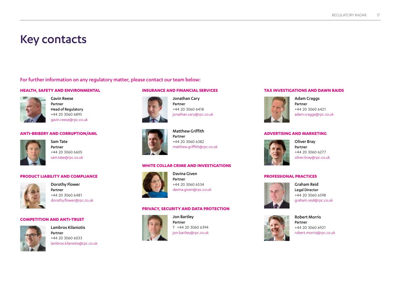## <span id="page-18-0"></span>Key contacts

For further information on any regulatory matter, please contact our team below:

### **HEALTH, SAFETY AND ENVIRONMENTAL**



Gavin Reese Partner Head of Regulatory +44 20 3060 6895 gavin.reese@rpc.co.uk

### **ANTI-BRIBERY AND CORRUPTION/AML**



Sam Tate Partner +44 20 3060 6605 sam.tate@rpc.co.uk

### **PRODUCT LIABILITY AND COMPLIANCE**



Dorothy Flower Partner +44 20 3060 6481 dorothy.flower@rpc.co.uk

### **COMPETITION AND ANTI-TRUST**



Lambros Kilaniotis Partner +44 20 3060 6033 lambros.kilaniotis@rpc.co.uk

### **INSURANCE AND FINANCIAL SERVICES**



Jonathan Cary Partner +44 20 3060 6418 jonathan.cary@rpc.co.uk



Matthew Griffith Partner +44 20 3060 6382 matthew.griffith@rpc.co.uk

### **WHITE COLLAR CRIME AND INVESTIGATIONS**



Davina Given Partner +44 20 3060 6534 davina.given@rpc.co.uk

### **PRIVACY, SECURITY AND DATA PROTECTION**



Jon Bartley Partner T +44 20 3060 6394 jon.bartley@rpc.co.uk

### **TAX INVESTIGATIONS AND DAWN RAIDS**



Adam Craggs Partner +44 20 3060 6421 adam.craggs@rpc.co.uk

### **ADVERTISING AND MARKETING**



Oliver Bray Partner +44 20 3060 6277 oliver.bray@rpc.co.uk

### **PROFESSIONAL PRACTICES**



Graham Reid Legal Director +44 20 3060 6598 graham.reid@rpc.co.uk



Robert Morris Partner +44 20 3060 6921 robert.morris@rpc.co.uk